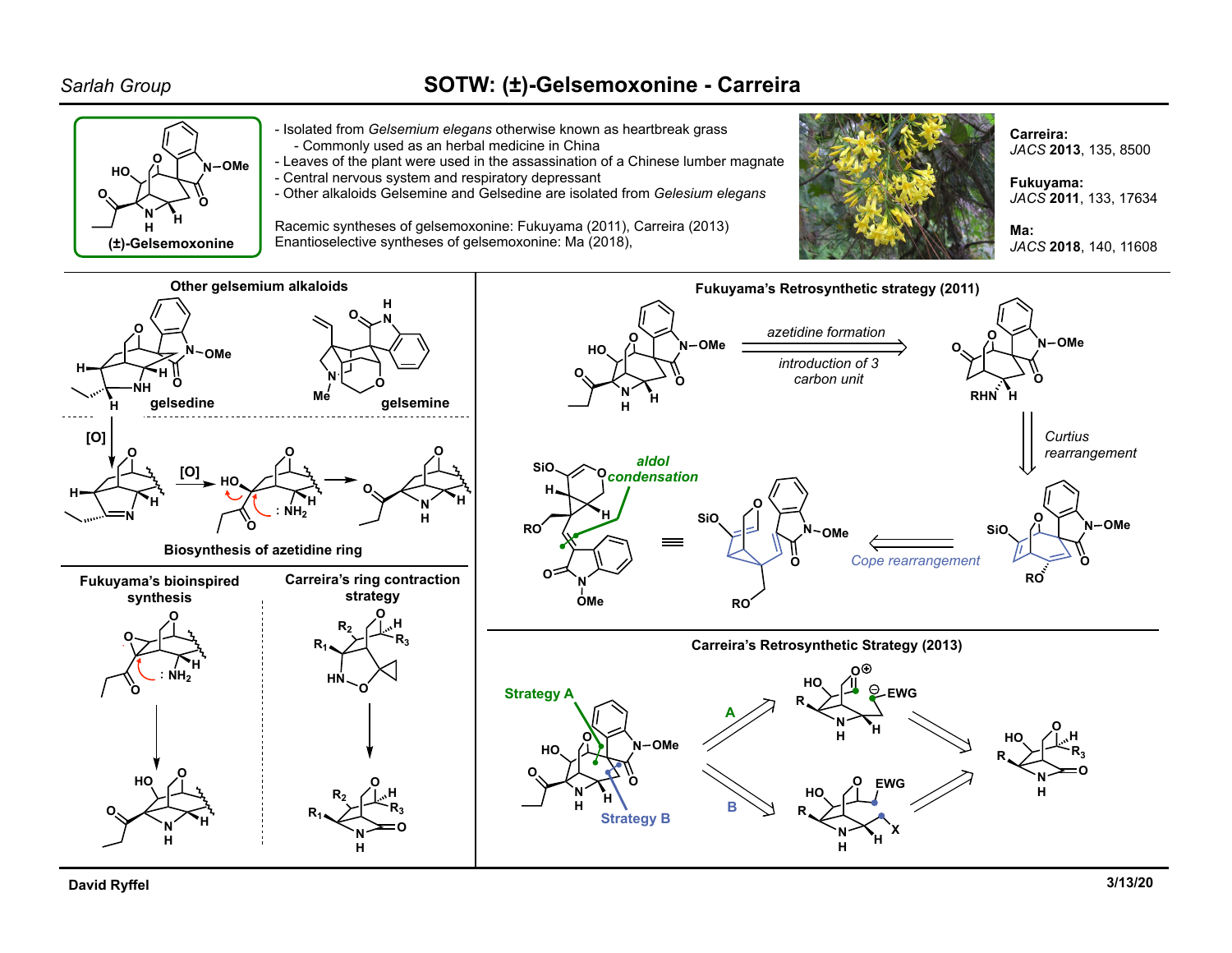## *Sarlah Group* **SOTW: (±)-Gelsemoxonine - Carreira**



- Isolated from *Gelsemium elegans* otherwise known as heartbreak grass - Commonly used as an herbal medicine in China
- Leaves of the plant were used in the assassination of a Chinese lumber magnate
- Central nervous system and respiratory depressant
- Other alkaloids Gelsemine and Gelsedine are isolated from *Gelesium elegans*

Racemic syntheses of gelsemoxonine: Fukuyama (2011), Carreira (2013) Enantioselective syntheses of gelsemoxonine: Ma (2018),



**Carreira:** *JACS* **2013**, 135, 8500

**Fukuyama:** *JACS* **2011**, 133, 17634

**Ma:** *JACS* **2018**, 140, 11608